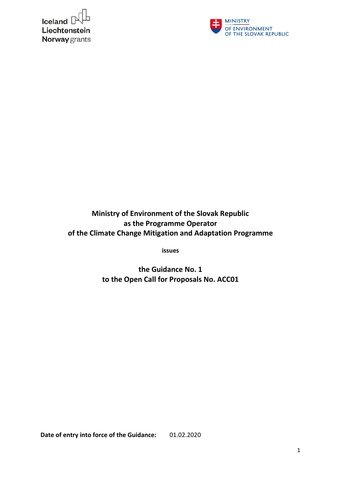



**Ministry of Environment of the Slovak Republic as the Programme Operator of the Climate Change Mitigation and Adaptation Programme** 

**issues**

**the Guidance No. 1 to the Open Call for Proposals No. ACC01** 

**Date of entry into force of the Guidance:** 01.02.2020